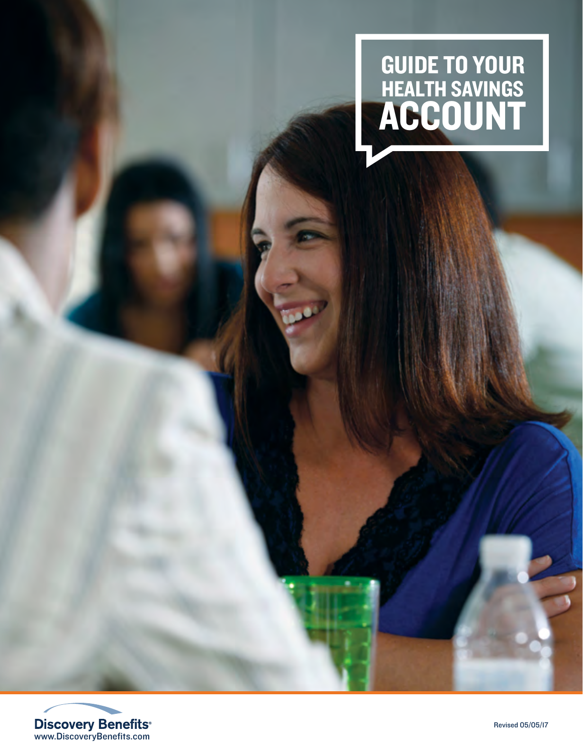# GUIDE TO YOUR HEALTH SAVINGS ACCOUNT

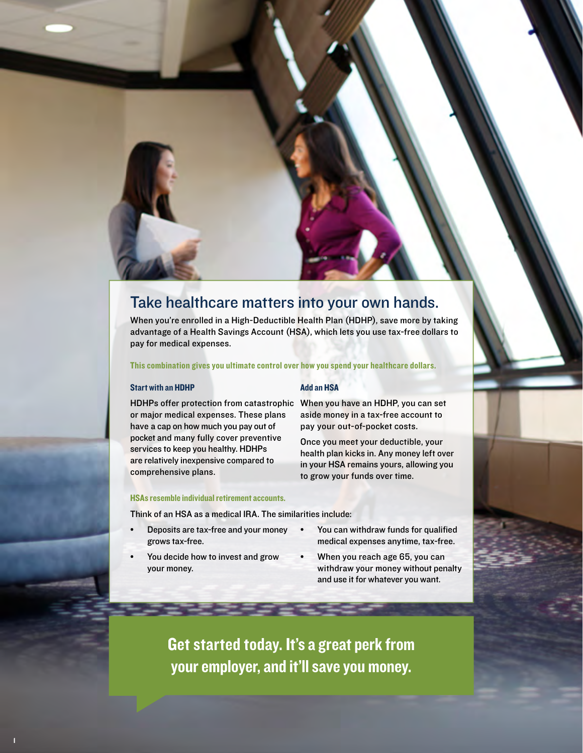# Take healthcare matters into your own hands.

When you're enrolled in a High-Deductible Health Plan (HDHP), save more by taking advantage of a Health Savings Account (HSA), which lets you use tax-free dollars to pay for medical expenses.

#### This combination gives you ultimate control over how you spend your healthcare dollars.

#### Start with an HDHP

1

HDHPs offer protection from catastrophic When you have an HDHP, you can set or major medical expenses. These plans have a cap on how much you pay out of pocket and many fully cover preventive services to keep you healthy. HDHPs are relatively inexpensive compared to comprehensive plans.

## Add an HSA

aside money in a tax-free account to pay your out-of-pocket costs.

Once you meet your deductible, your health plan kicks in. Any money left over in your HSA remains yours, allowing you to grow your funds over time.

#### HSAs resemble individual retirement accounts.

Think of an HSA as a medical IRA. The similarities include:

- Deposits are tax-free and your money grows tax-free.
- You decide how to invest and grow your money.
- You can withdraw funds for qualified medical expenses anytime, tax-free.
- When you reach age 65, you can withdraw your money without penalty and use it for whatever you want.

Get started today. It's a great perk from your employer, and it'll save you money.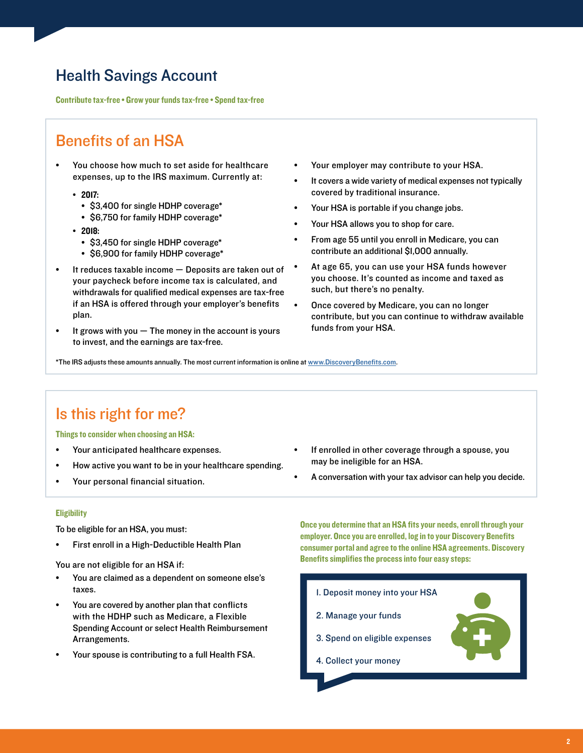# Health Savings Account

Contribute tax-free • Grow your funds tax-free • Spend tax-free

# Benefits of an HSA

- You choose how much to set aside for healthcare expenses, up to the IRS maximum. Currently at:
	- 2017:
		- \$3,400 for single HDHP coverage\*
	- \$6,750 for family HDHP coverage\*
	- 2018:
		- \$3,450 for single HDHP coverage\*
		- \$6,900 for family HDHP coverage\*
- It reduces taxable income Deposits are taken out of your paycheck before income tax is calculated, and withdrawals for qualified medical expenses are tax-free if an HSA is offered through your employer's benefits plan.
- It grows with you  $-$  The money in the account is yours to invest, and the earnings are tax-free.
- Your employer may contribute to your HSA.
- It covers a wide variety of medical expenses not typically covered by traditional insurance.
- Your HSA is portable if you change jobs.
- Your HSA allows you to shop for care.
- From age 55 until you enroll in Medicare, you can contribute an additional \$1,000 annually.
- At age 65, you can use your HSA funds however you choose. It's counted as income and taxed as such, but there's no penalty.
- Once covered by Medicare, you can no longer contribute, but you can continue to withdraw available funds from your HSA.

\*The IRS adjusts these amounts annually. The most current information is online at www.DiscoveryBenefits.com.

# Is this right for me?

Things to consider when choosing an HSA:

- Your anticipated healthcare expenses.
- How active you want to be in your healthcare spending.
- Your personal financial situation.
- If enrolled in other coverage through a spouse, you may be ineligible for an HSA.
- A conversation with your tax advisor can help you decide.

### **Eligibility**

To be eligible for an HSA, you must:

• First enroll in a High-Deductible Health Plan

You are not eligible for an HSA if:

- You are claimed as a dependent on someone else's taxes.
- You are covered by another plan that conflicts with the HDHP such as Medicare, a Flexible Spending Account or select Health Reimbursement Arrangements.
- Your spouse is contributing to a full Health FSA.

Once you determine that an HSA fits your needs, enroll through your employer. Once you are enrolled, log in to your Discovery Benefits consumer portal and agree to the online HSA agreements. Discovery Benefits simplifies the process into four easy steps:

1. Deposit money into your HSA 2. Manage your funds 3. Spend on eligible expenses 4. Collect your money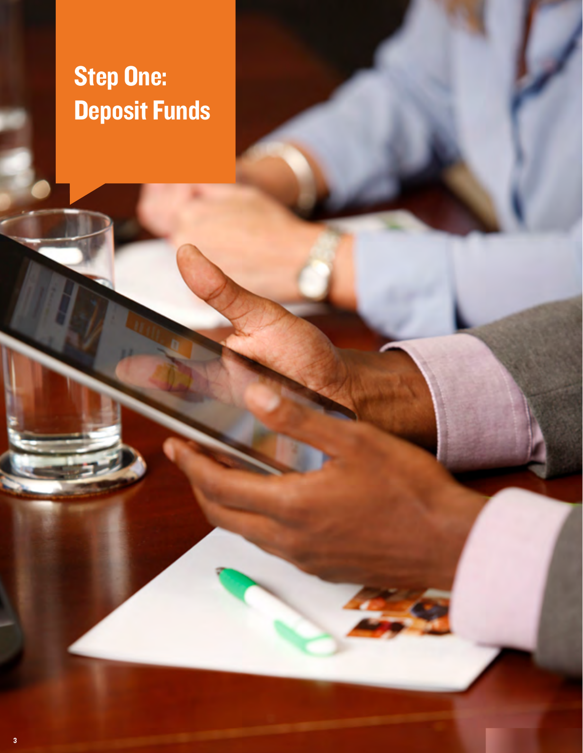# Step One: Deposit Funds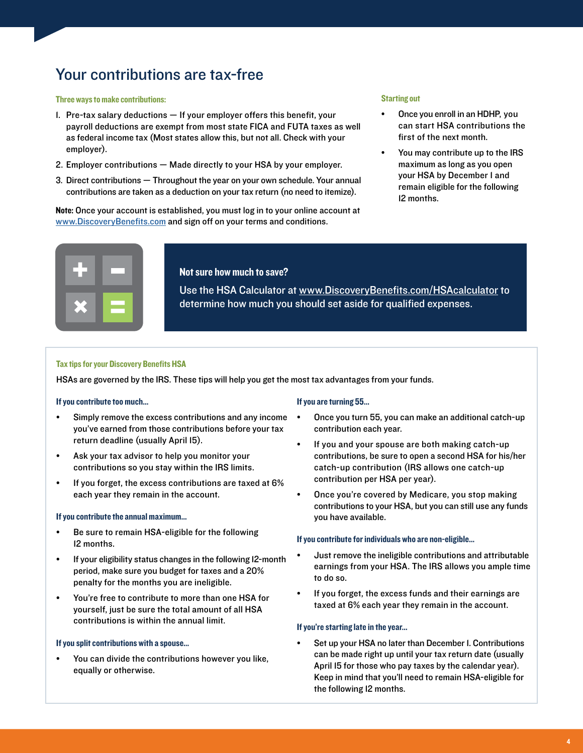# Your contributions are tax-free

#### Three ways to make contributions:

- 1. Pre-tax salary deductions If your employer offers this benefit, your payroll deductions are exempt from most state FICA and FUTA taxes as well as federal income tax (Most states allow this, but not all. Check with your employer).
- 2. Employer contributions Made directly to your HSA by your employer.
- 3. Direct contributions Throughout the year on your own schedule. Your annual contributions are taken as a deduction on your tax return (no need to itemize).

Note: Once your account is established, you must log in to your online account at www.DiscoveryBenefits.com and sign off on your terms and conditions.

#### Starting out

- Once you enroll in an HDHP, you can start HSA contributions the first of the next month.
- You may contribute up to the IRS maximum as long as you open your HSA by December 1 and remain eligible for the following 12 months.

| ÞJ. |  |
|-----|--|

## Not sure how much to save?

Use the HSA Calculator at www.DiscoveryBenefits.com/HSAcalculator to determine how much you should set aside for qualified expenses.

#### Tax tips for your Discovery Benefits HSA

HSAs are governed by the IRS. These tips will help you get the most tax advantages from your funds.

#### If you contribute too much…

- Simply remove the excess contributions and any income you've earned from those contributions before your tax return deadline (usually April 15).
- Ask your tax advisor to help you monitor your contributions so you stay within the IRS limits.
- If you forget, the excess contributions are taxed at 6% each year they remain in the account.

#### If you contribute the annual maximum…

- Be sure to remain HSA-eligible for the following 12 months.
- If your eligibility status changes in the following 12-month period, make sure you budget for taxes and a 20% penalty for the months you are ineligible.
- You're free to contribute to more than one HSA for yourself, just be sure the total amount of all HSA contributions is within the annual limit.

### If you split contributions with a spouse…

• You can divide the contributions however you like, equally or otherwise.

### If you are turning 55…

- Once you turn 55, you can make an additional catch-up contribution each year.
- If you and your spouse are both making catch-up contributions, be sure to open a second HSA for his/her catch-up contribution (IRS allows one catch-up contribution per HSA per year).
- Once you're covered by Medicare, you stop making contributions to your HSA, but you can still use any funds you have available.

#### If you contribute for individuals who are non-eligible…

- Just remove the ineligible contributions and attributable earnings from your HSA. The IRS allows you ample time to do so.
- If you forget, the excess funds and their earnings are taxed at 6% each year they remain in the account.

#### If you're starting late in the year…

Set up your HSA no later than December I. Contributions can be made right up until your tax return date (usually April 15 for those who pay taxes by the calendar year). Keep in mind that you'll need to remain HSA-eligible for the following 12 months.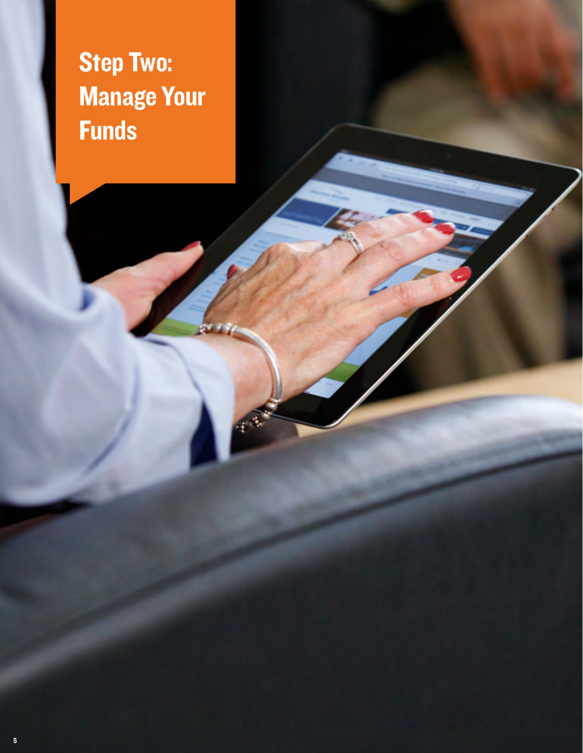# Step Two: Manage Your Funds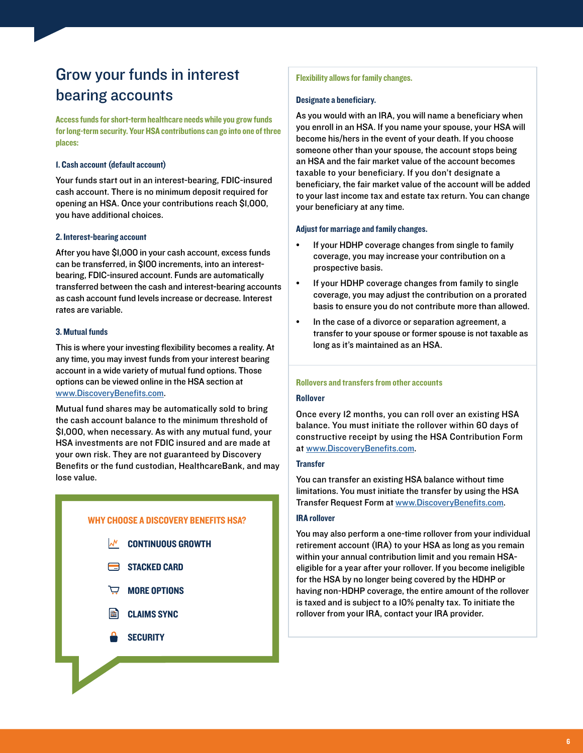# Grow your funds in interest bearing accounts

Access funds for short-term healthcare needs while you grow funds for long-term security. Your HSA contributions can go into one of three places:

## 1. Cash account (default account)

Your funds start out in an interest-bearing, FDIC-insured cash account. There is no minimum deposit required for opening an HSA. Once your contributions reach \$1,000, you have additional choices.

### 2. Interest-bearing account

After you have \$1,000 in your cash account, excess funds can be transferred, in \$100 increments, into an interestbearing, FDIC-insured account. Funds are automatically transferred between the cash and interest-bearing accounts as cash account fund levels increase or decrease. Interest rates are variable.

## 3. Mutual funds

This is where your investing flexibility becomes a reality. At any time, you may invest funds from your interest bearing account in a wide variety of mutual fund options. Those options can be viewed online in the HSA section at www.DiscoveryBenefits.com.

Mutual fund shares may be automatically sold to bring the cash account balance to the minimum threshold of \$1,000, when necessary. As with any mutual fund, your HSA investments are not FDIC insured and are made at your own risk. They are not guaranteed by Discovery Benefits or the fund custodian, HealthcareBank, and may lose value.

## WHY CHOOSE A DISCOVERY BENEFITS HSA?



- 
- $\overleftrightarrow{H}$  MORE OPTIONS
- CLAIMS SYNC
- **SECURITY**

## Flexibility allows for family changes.

### Designate a beneficiary.

As you would with an IRA, you will name a beneficiary when you enroll in an HSA. If you name your spouse, your HSA will become his/hers in the event of your death. If you choose someone other than your spouse, the account stops being an HSA and the fair market value of the account becomes taxable to your beneficiary. If you don't designate a beneficiary, the fair market value of the account will be added to your last income tax and estate tax return. You can change your beneficiary at any time.

### Adjust for marriage and family changes.

- If your HDHP coverage changes from single to family coverage, you may increase your contribution on a prospective basis.
- If your HDHP coverage changes from family to single coverage, you may adjust the contribution on a prorated basis to ensure you do not contribute more than allowed.
- In the case of a divorce or separation agreement, a transfer to your spouse or former spouse is not taxable as long as it's maintained as an HSA.

### Rollovers and transfers from other accounts

#### Rollover

Once every 12 months, you can roll over an existing HSA balance. You must initiate the rollover within 60 days of constructive receipt by using the HSA Contribution Form at www.DiscoveryBenefits.com.

#### **Transfer**

You can transfer an existing HSA balance without time limitations. You must initiate the transfer by using the HSA Transfer Request Form at www.DiscoveryBenefits.com.

### IRA rollover

You may also perform a one-time rollover from your individual retirement account (IRA) to your HSA as long as you remain within your annual contribution limit and you remain HSAeligible for a year after your rollover. If you become ineligible for the HSA by no longer being covered by the HDHP or having non-HDHP coverage, the entire amount of the rollover is taxed and is subject to a 10% penalty tax. To initiate the rollover from your IRA, contact your IRA provider.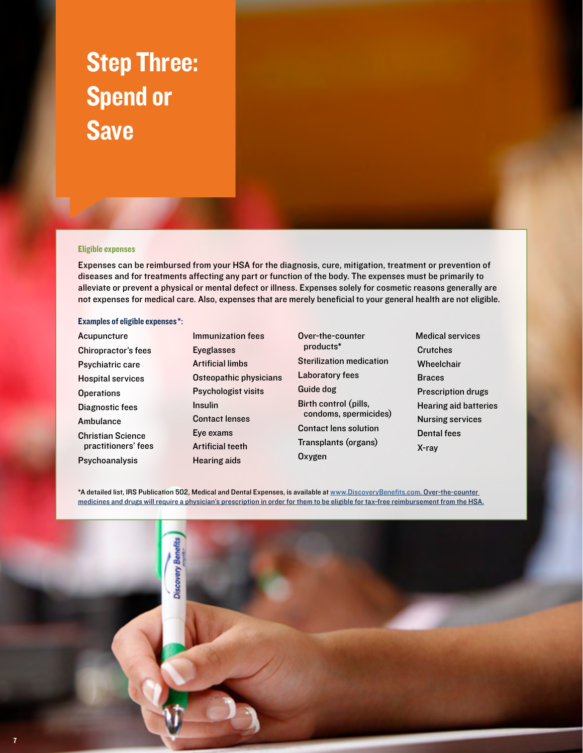# Step Three: Spend or Save

#### Eligible expenses

Expenses can be reimbursed from your HSA for the diagnosis, cure, mitigation, treatment or prevention of diseases and for treatments affecting any part or function of the body. The expenses must be primarily to alleviate or prevent a physical or mental defect or illness. Expenses solely for cosmetic reasons generally are not expenses for medical care. Also, expenses that are merely beneficial to your general health are not eligible.

#### Examples of eligible expenses \*:

| Acupuncture              | Immunization fees       |
|--------------------------|-------------------------|
| Chiropractor's fees      | <b>Eveglasses</b>       |
| <b>Psychiatric care</b>  | <b>Artificial limbs</b> |
| <b>Hospital services</b> | Osteopathic physicians  |
| <b>Operations</b>        | Psychologist visits     |
| Diagnostic fees          | <b>Insulin</b>          |
| Ambulance                | <b>Contact lenses</b>   |
| <b>Christian Science</b> | Eye exams               |
| practitioners' fees      | <b>Artificial teeth</b> |
| Psychoanalysis           | <b>Hearing aids</b>     |

**Scovery Be** 

- Over-the-counter products\* Sterilization medication Laboratory fees Guide dog Birth control (pills, condoms, spermicides) Contact lens solution Transplants (organs) Oxygen
- Medical services Crutches **Wheelchair** Braces Prescription drugs Hearing aid batteries Nursing services Dental fees X-ray

\*A detailed list, IRS Publication 502, Medical and Dental Expenses, is available at www.DiscoveryBenefits.com. Over-the-counter medicines and drugs will require a physician's prescription in order for them to be eligible for tax-free reimbursement from the HSA.



7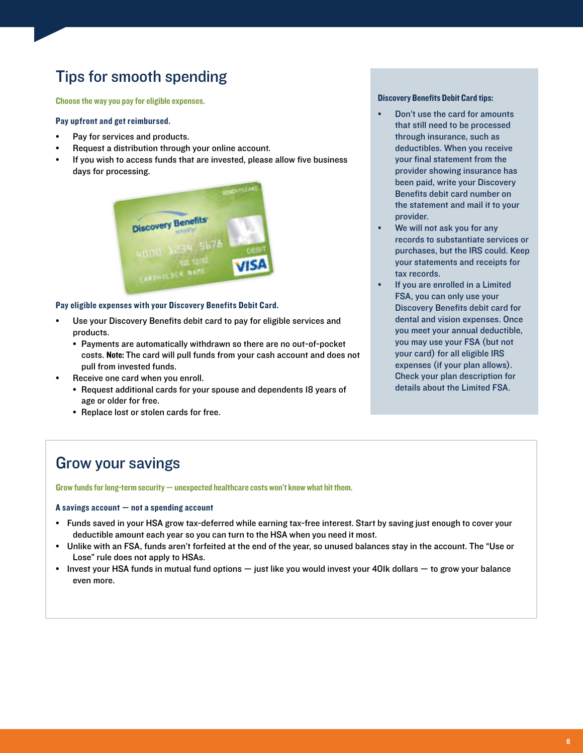# Tips for smooth spending

Choose the way you pay for eligible expenses.

#### Pay upfront and get reimbursed.

- Pay for services and products.
- Request a distribution through your online account.
- If you wish to access funds that are invested, please allow five business days for processing.



#### Pay eligible expenses with your Discovery Benefits Debit Card.

- Use your Discovery Benefits debit card to pay for eligible services and products.
	- Payments are automatically withdrawn so there are no out-of-pocket costs. Note: The card will pull funds from your cash account and does not pull from invested funds.
- Receive one card when you enroll.
	- Request additional cards for your spouse and dependents 18 years of age or older for free.
	- Replace lost or stolen cards for free.

### Discovery Benefits Debit Card tips:

- Don't use the card for amounts that still need to be processed through insurance, such as deductibles. When you receive your final statement from the provider showing insurance has been paid, write your Discovery Benefits debit card number on the statement and mail it to your provider.
- We will not ask you for any records to substantiate services or purchases, but the IRS could. Keep your statements and receipts for tax records.
- If you are enrolled in a Limited FSA, you can only use your Discovery Benefits debit card for dental and vision expenses. Once you meet your annual deductible, you may use your FSA (but not your card) for all eligible IRS expenses (if your plan allows). Check your plan description for details about the Limited FSA.

# Grow your savings

Grow funds for long-term security — unexpected healthcare costs won't know what hit them.

### A savings account — not a spending account

- Funds saved in your HSA grow tax-deferred while earning tax-free interest. Start by saving just enough to cover your deductible amount each year so you can turn to the HSA when you need it most.
- Unlike with an FSA, funds aren't forfeited at the end of the year, so unused balances stay in the account. The "Use or Lose" rule does not apply to HSAs.
- Invest your HSA funds in mutual fund options just like you would invest your 401k dollars to grow your balance even more.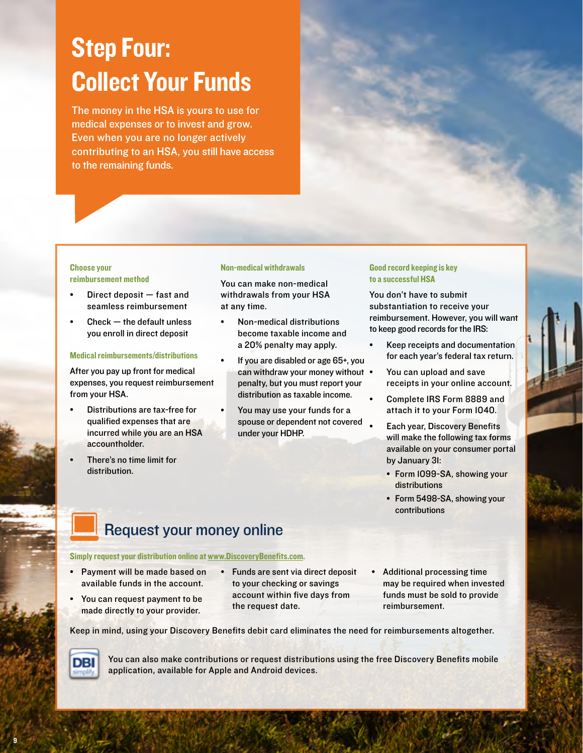# Step Four: Collect Your Funds

The money in the HSA is yours to use for medical expenses or to invest and grow. Even when you are no longer actively contributing to an HSA, you still have access to the remaining funds.



## Choose your reimbursement method

- Direct deposit  $-$  fast and seamless reimbursement
- $Check the default unless$ you enroll in direct deposit

## Medical reimbursements/distributions

After you pay up front for medical expenses, you request reimbursement from your HSA.

- Distributions are tax-free for qualified expenses that are incurred while you are an HSA accountholder.
- There's no time limit for distribution.

## Non-medical withdrawals

You can make non-medical withdrawals from your HSA at any time.

- Non-medical distributions become taxable income and a 20% penalty may apply.
- If you are disabled or age 65+, you can withdraw your money without • penalty, but you must report your distribution as taxable income.
- You may use your funds for a spouse or dependent not covered under your HDHP.

## Good record keeping is key to a successful HSA

You don't have to submit substantiation to receive your reimbursement. However, you will want to keep good records for the IRS:

- Keep receipts and documentation for each year's federal tax return.
	- You can upload and save receipts in your online account.
- Complete IRS Form 8889 and attach it to your Form 1040.
	- Each year, Discovery Benefits will make the following tax forms available on your consumer portal by January 31:
	- Form 1099-SA, showing your distributions
	- Form 5498-SA, showing your contributions

# Request your money online

## Simply request your distribution online at www.DiscoveryBenefits.com.

• Payment will be made based on available funds in the account.

• You can request payment to be made directly to your provider.

- Funds are sent via direct deposit to your checking or savings account within five days from the request date.
- Additional processing time may be required when invested funds must be sold to provide reimbursement.

Keep in mind, using your Discovery Benefits debit card eliminates the need for reimbursements altogether.



You can also make contributions or request distributions using the free Discovery Benefits mobile application, available for Apple and Android devices.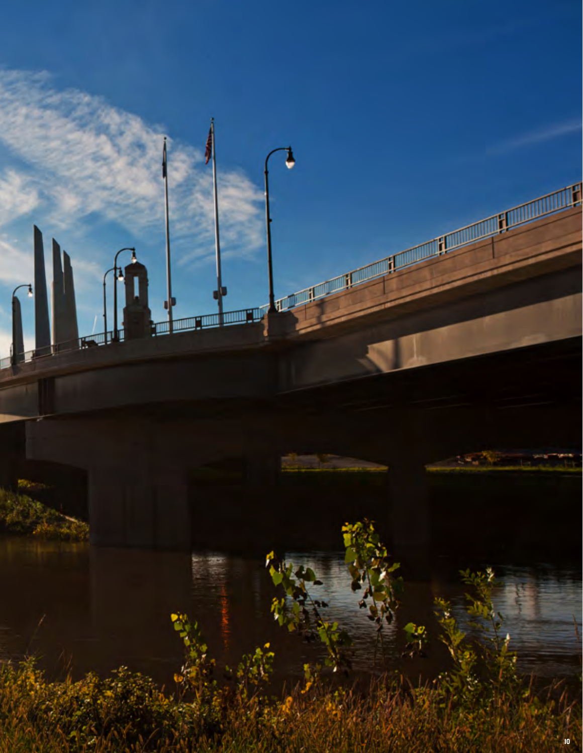